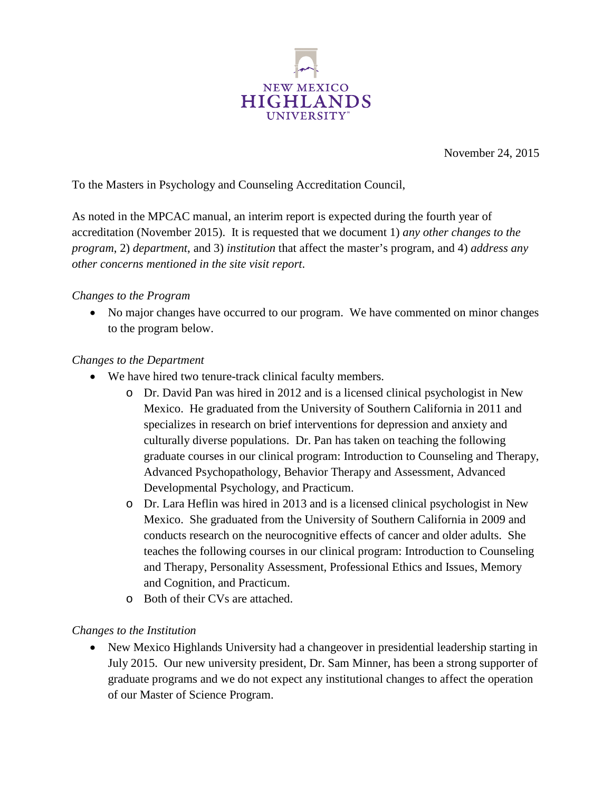

November 24, 2015

To the Masters in Psychology and Counseling Accreditation Council,

As noted in the MPCAC manual, an interim report is expected during the fourth year of accreditation (November 2015). It is requested that we document 1) *any other changes to the program*, 2) *department*, and 3) *institution* that affect the master's program, and 4) *address any other concerns mentioned in the site visit report*.

## *Changes to the Program*

• No major changes have occurred to our program. We have commented on minor changes to the program below.

## *Changes to the Department*

- We have hired two tenure-track clinical faculty members.
	- o Dr. David Pan was hired in 2012 and is a licensed clinical psychologist in New Mexico. He graduated from the University of Southern California in 2011 and specializes in research on brief interventions for depression and anxiety and culturally diverse populations. Dr. Pan has taken on teaching the following graduate courses in our clinical program: Introduction to Counseling and Therapy, Advanced Psychopathology, Behavior Therapy and Assessment, Advanced Developmental Psychology, and Practicum.
	- o Dr. Lara Heflin was hired in 2013 and is a licensed clinical psychologist in New Mexico. She graduated from the University of Southern California in 2009 and conducts research on the neurocognitive effects of cancer and older adults. She teaches the following courses in our clinical program: Introduction to Counseling and Therapy, Personality Assessment, Professional Ethics and Issues, Memory and Cognition, and Practicum.
	- o Both of their CVs are attached.

## *Changes to the Institution*

• New Mexico Highlands University had a changeover in presidential leadership starting in July 2015. Our new university president, Dr. Sam Minner, has been a strong supporter of graduate programs and we do not expect any institutional changes to affect the operation of our Master of Science Program.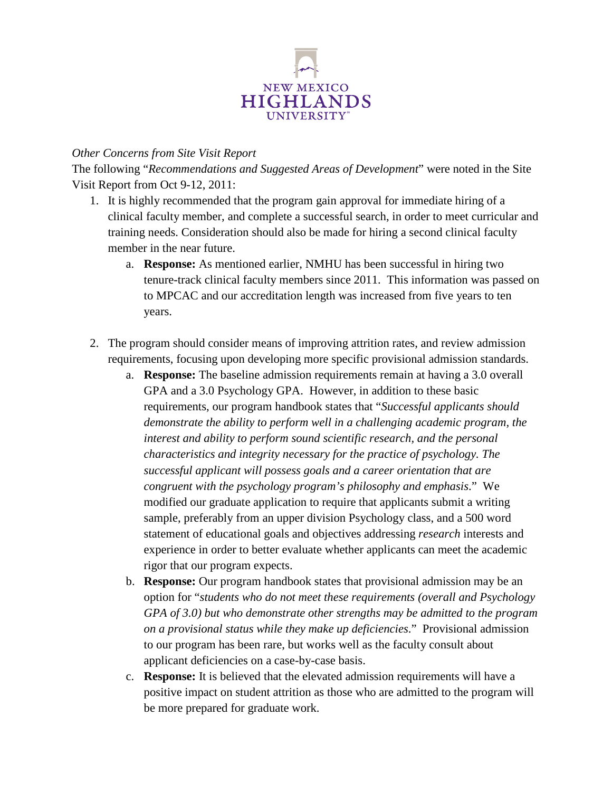

## *Other Concerns from Site Visit Report*

The following "*Recommendations and Suggested Areas of Development*" were noted in the Site Visit Report from Oct 9-12, 2011:

- 1. It is highly recommended that the program gain approval for immediate hiring of a clinical faculty member, and complete a successful search, in order to meet curricular and training needs. Consideration should also be made for hiring a second clinical faculty member in the near future.
	- a. **Response:** As mentioned earlier, NMHU has been successful in hiring two tenure-track clinical faculty members since 2011. This information was passed on to MPCAC and our accreditation length was increased from five years to ten years.
- 2. The program should consider means of improving attrition rates, and review admission requirements, focusing upon developing more specific provisional admission standards.
	- a. **Response:** The baseline admission requirements remain at having a 3.0 overall GPA and a 3.0 Psychology GPA. However, in addition to these basic requirements, our program handbook states that "*Successful applicants should demonstrate the ability to perform well in a challenging academic program, the interest and ability to perform sound scientific research, and the personal characteristics and integrity necessary for the practice of psychology. The successful applicant will possess goals and a career orientation that are congruent with the psychology program's philosophy and emphasis*." We modified our graduate application to require that applicants submit a writing sample, preferably from an upper division Psychology class, and a 500 word statement of educational goals and objectives addressing *research* interests and experience in order to better evaluate whether applicants can meet the academic rigor that our program expects.
	- b. **Response:** Our program handbook states that provisional admission may be an option for "*students who do not meet these requirements (overall and Psychology GPA of 3.0) but who demonstrate other strengths may be admitted to the program on a provisional status while they make up deficiencies*." Provisional admission to our program has been rare, but works well as the faculty consult about applicant deficiencies on a case-by-case basis.
	- c. **Response:** It is believed that the elevated admission requirements will have a positive impact on student attrition as those who are admitted to the program will be more prepared for graduate work.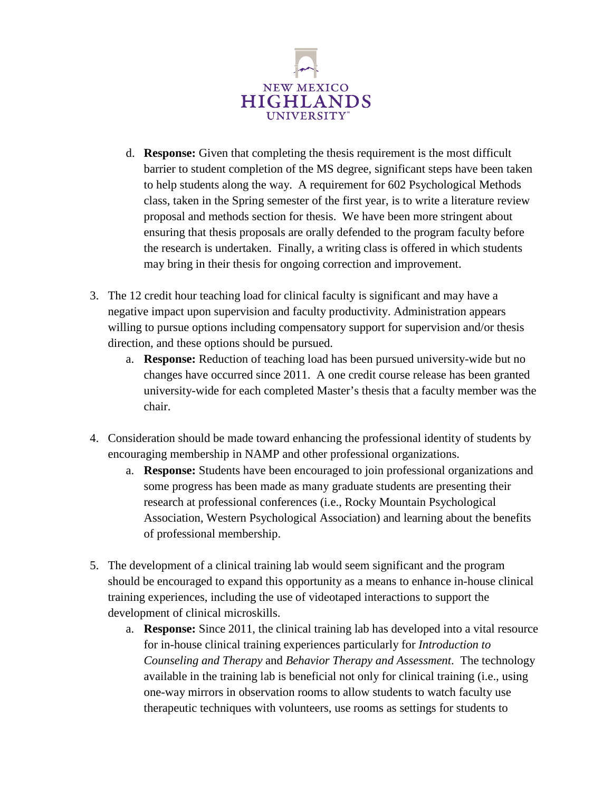

- d. **Response:** Given that completing the thesis requirement is the most difficult barrier to student completion of the MS degree, significant steps have been taken to help students along the way. A requirement for 602 Psychological Methods class, taken in the Spring semester of the first year, is to write a literature review proposal and methods section for thesis. We have been more stringent about ensuring that thesis proposals are orally defended to the program faculty before the research is undertaken. Finally, a writing class is offered in which students may bring in their thesis for ongoing correction and improvement.
- 3. The 12 credit hour teaching load for clinical faculty is significant and may have a negative impact upon supervision and faculty productivity. Administration appears willing to pursue options including compensatory support for supervision and/or thesis direction, and these options should be pursued.
	- a. **Response:** Reduction of teaching load has been pursued university-wide but no changes have occurred since 2011. A one credit course release has been granted university-wide for each completed Master's thesis that a faculty member was the chair.
- 4. Consideration should be made toward enhancing the professional identity of students by encouraging membership in NAMP and other professional organizations.
	- a. **Response:** Students have been encouraged to join professional organizations and some progress has been made as many graduate students are presenting their research at professional conferences (i.e., Rocky Mountain Psychological Association, Western Psychological Association) and learning about the benefits of professional membership.
- 5. The development of a clinical training lab would seem significant and the program should be encouraged to expand this opportunity as a means to enhance in-house clinical training experiences, including the use of videotaped interactions to support the development of clinical microskills.
	- a. **Response:** Since 2011, the clinical training lab has developed into a vital resource for in-house clinical training experiences particularly for *Introduction to Counseling and Therapy* and *Behavior Therapy and Assessment*. The technology available in the training lab is beneficial not only for clinical training (i.e., using one-way mirrors in observation rooms to allow students to watch faculty use therapeutic techniques with volunteers, use rooms as settings for students to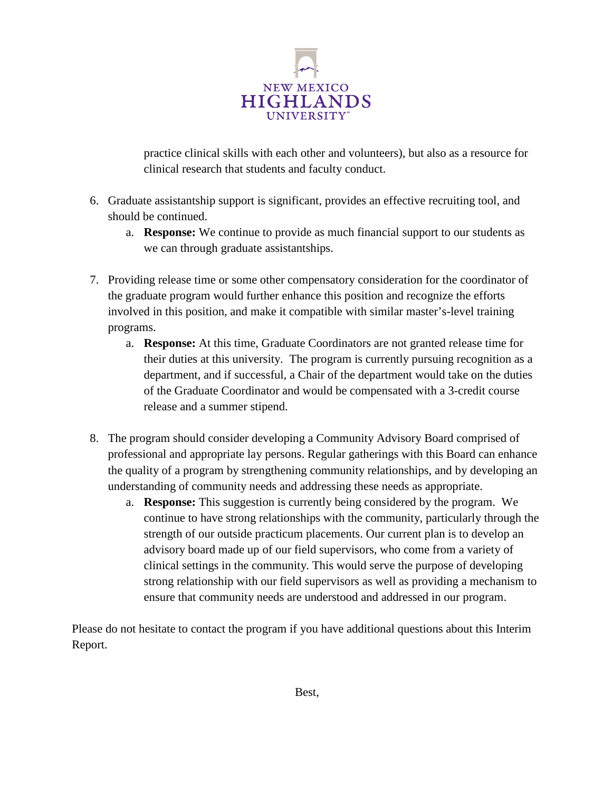

practice clinical skills with each other and volunteers), but also as a resource for clinical research that students and faculty conduct.

- 6. Graduate assistantship support is significant, provides an effective recruiting tool, and should be continued.
	- a. **Response:** We continue to provide as much financial support to our students as we can through graduate assistantships.
- 7. Providing release time or some other compensatory consideration for the coordinator of the graduate program would further enhance this position and recognize the efforts involved in this position, and make it compatible with similar master's-level training programs.
	- a. **Response:** At this time, Graduate Coordinators are not granted release time for their duties at this university. The program is currently pursuing recognition as a department, and if successful, a Chair of the department would take on the duties of the Graduate Coordinator and would be compensated with a 3-credit course release and a summer stipend.
- 8. The program should consider developing a Community Advisory Board comprised of professional and appropriate lay persons. Regular gatherings with this Board can enhance the quality of a program by strengthening community relationships, and by developing an understanding of community needs and addressing these needs as appropriate.
	- a. **Response:** This suggestion is currently being considered by the program. We continue to have strong relationships with the community, particularly through the strength of our outside practicum placements. Our current plan is to develop an advisory board made up of our field supervisors, who come from a variety of clinical settings in the community. This would serve the purpose of developing strong relationship with our field supervisors as well as providing a mechanism to ensure that community needs are understood and addressed in our program.

Please do not hesitate to contact the program if you have additional questions about this Interim Report.